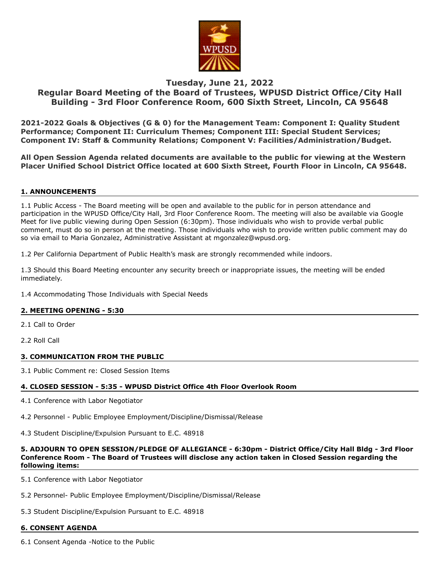

# **Tuesday, June 21, 2022**

# **Regular Board Meeting of the Board of Trustees, WPUSD District Office/City Hall Building - 3rd Floor Conference Room, 600 Sixth Street, Lincoln, CA 95648**

**2021-2022 Goals & Objectives (G & 0) for the Management Team: Component I: Quality Student Performance; Component II: Curriculum Themes; Component III: Special Student Services; Component IV: Staff & Community Relations; Component V: Facilities/Administration/Budget.**

**All Open Session Agenda related documents are available to the public for viewing at the Western Placer Unified School District Office located at 600 Sixth Street, Fourth Floor in Lincoln, CA 95648.**

## **1. ANNOUNCEMENTS**

1.1 Public Access - The Board meeting will be open and available to the public for in person attendance and participation in the WPUSD Office/City Hall, 3rd Floor Conference Room. The meeting will also be available via Google Meet for live public viewing during Open Session (6:30pm). Those individuals who wish to provide verbal public comment, must do so in person at the meeting. Those individuals who wish to provide written public comment may do so via email to Maria Gonzalez, Administrative Assistant at mgonzalez@wpusd.org.

1.2 Per California Department of Public Health's mask are strongly recommended while indoors.

1.3 Should this Board Meeting encounter any security breech or inappropriate issues, the meeting will be ended immediately.

1.4 Accommodating Those Individuals with Special Needs

## **2. MEETING OPENING - 5:30**

2.1 Call to Order

2.2 Roll Call

## **3. COMMUNICATION FROM THE PUBLIC**

3.1 Public Comment re: Closed Session Items

## **4. CLOSED SESSION - 5:35 - WPUSD District Office 4th Floor Overlook Room**

4.1 Conference with Labor Negotiator

4.2 Personnel - Public Employee Employment/Discipline/Dismissal/Release

4.3 Student Discipline/Expulsion Pursuant to E.C. 48918

## **5. ADJOURN TO OPEN SESSION/PLEDGE OF ALLEGIANCE - 6:30pm - District Office/City Hall Bldg - 3rd Floor Conference Room - The Board of Trustees will disclose any action taken in Closed Session regarding the following items:**

5.1 Conference with Labor Negotiator

5.2 Personnel- Public Employee Employment/Discipline/Dismissal/Release

5.3 Student Discipline/Expulsion Pursuant to E.C. 48918

## **6. CONSENT AGENDA**

6.1 Consent Agenda -Notice to the Public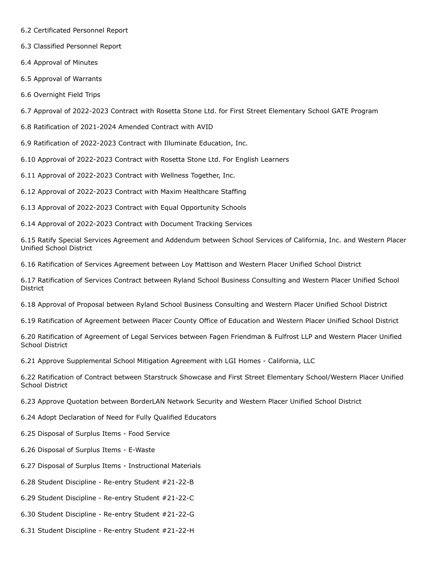- 6.2 Certificated Personnel Report
- 6.3 Classified Personnel Report
- 6.4 Approval of Minutes
- 6.5 Approval of Warrants
- 6.6 Overnight Field Trips

6.7 Approval of 2022-2023 Contract with Rosetta Stone Ltd. for First Street Elementary School GATE Program

6.8 Ratification of 2021-2024 Amended Contract with AVID

6.9 Ratification of 2022-2023 Contract with Illuminate Education, Inc.

6.10 Approval of 2022-2023 Contract with Rosetta Stone Ltd. For English Learners

6.11 Approval of 2022-2023 Contract with Wellness Together, Inc.

6.12 Approval of 2022-2023 Contract with Maxim Healthcare Staffing

- 6.13 Approval of 2022-2023 Contract with Equal Opportunity Schools
- 6.14 Approval of 2022-2023 Contract with Document Tracking Services

6.15 Ratify Special Services Agreement and Addendum between School Services of California, Inc. and Western Placer Unified School District

6.16 Ratification of Services Agreement between Loy Mattison and Western Placer Unified School District

6.17 Ratification of Services Contract between Ryland School Business Consulting and Western Placer Unified School District

6.18 Approval of Proposal between Ryland School Business Consulting and Western Placer Unified School District

6.19 Ratification of Agreement between Placer County Office of Education and Western Placer Unified School District

6.20 Ratification of Agreement of Legal Services between Fagen Friendman & Fulfrost LLP and Western Placer Unified School District

6.21 Approve Supplemental School Mitigation Agreement with LGI Homes - California, LLC

6.22 Ratification of Contract between Starstruck Showcase and First Street Elementary School/Western Placer Unified School District

6.23 Approve Quotation between BorderLAN Network Security and Western Placer Unified School District

- 6.24 Adopt Declaration of Need for Fully Qualified Educators
- 6.25 Disposal of Surplus Items Food Service
- 6.26 Disposal of Surplus Items E-Waste
- 6.27 Disposal of Surplus Items Instructional Materials
- 6.28 Student Discipline Re-entry Student #21-22-B
- 6.29 Student Discipline Re-entry Student #21-22-C
- 6.30 Student Discipline Re-entry Student #21-22-G
- 6.31 Student Discipline Re-entry Student #21-22-H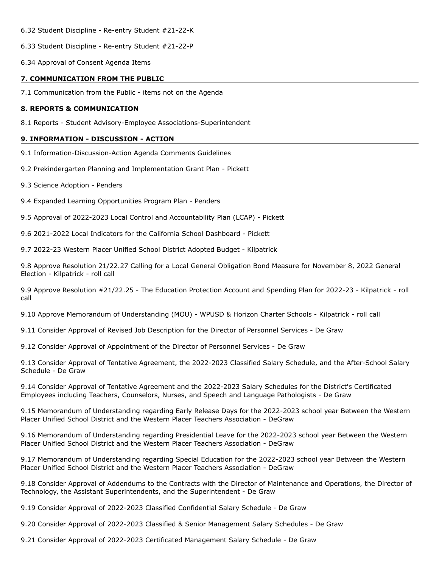6.32 Student Discipline - Re-entry Student #21-22-K

6.33 Student Discipline - Re-entry Student #21-22-P

6.34 Approval of Consent Agenda Items

#### **7. COMMUNICATION FROM THE PUBLIC**

7.1 Communication from the Public - items not on the Agenda

#### **8. REPORTS & COMMUNICATION**

8.1 Reports - Student Advisory-Employee Associations-Superintendent

## **9. INFORMATION - DISCUSSION - ACTION**

9.1 Information-Discussion-Action Agenda Comments Guidelines

9.2 Prekindergarten Planning and Implementation Grant Plan - Pickett

- 9.3 Science Adoption Penders
- 9.4 Expanded Learning Opportunities Program Plan Penders

9.5 Approval of 2022-2023 Local Control and Accountability Plan (LCAP) - Pickett

9.6 2021-2022 Local Indicators for the California School Dashboard - Pickett

9.7 2022-23 Western Placer Unified School District Adopted Budget - Kilpatrick

9.8 Approve Resolution 21/22.27 Calling for a Local General Obligation Bond Measure for November 8, 2022 General Election - Kilpatrick - roll call

9.9 Approve Resolution #21/22.25 - The Education Protection Account and Spending Plan for 2022-23 - Kilpatrick - roll call

9.10 Approve Memorandum of Understanding (MOU) - WPUSD & Horizon Charter Schools - Kilpatrick - roll call

9.11 Consider Approval of Revised Job Description for the Director of Personnel Services - De Graw

9.12 Consider Approval of Appointment of the Director of Personnel Services - De Graw

9.13 Consider Approval of Tentative Agreement, the 2022-2023 Classified Salary Schedule, and the After-School Salary Schedule - De Graw

9.14 Consider Approval of Tentative Agreement and the 2022-2023 Salary Schedules for the District's Certificated Employees including Teachers, Counselors, Nurses, and Speech and Language Pathologists - De Graw

9.15 Memorandum of Understanding regarding Early Release Days for the 2022-2023 school year Between the Western Placer Unified School District and the Western Placer Teachers Association - DeGraw

9.16 Memorandum of Understanding regarding Presidential Leave for the 2022-2023 school year Between the Western Placer Unified School District and the Western Placer Teachers Association - DeGraw

9.17 Memorandum of Understanding regarding Special Education for the 2022-2023 school year Between the Western Placer Unified School District and the Western Placer Teachers Association - DeGraw

9.18 Consider Approval of Addendums to the Contracts with the Director of Maintenance and Operations, the Director of Technology, the Assistant Superintendents, and the Superintendent - De Graw

9.19 Consider Approval of 2022-2023 Classified Confidential Salary Schedule - De Graw

9.20 Consider Approval of 2022-2023 Classified & Senior Management Salary Schedules - De Graw

9.21 Consider Approval of 2022-2023 Certificated Management Salary Schedule - De Graw